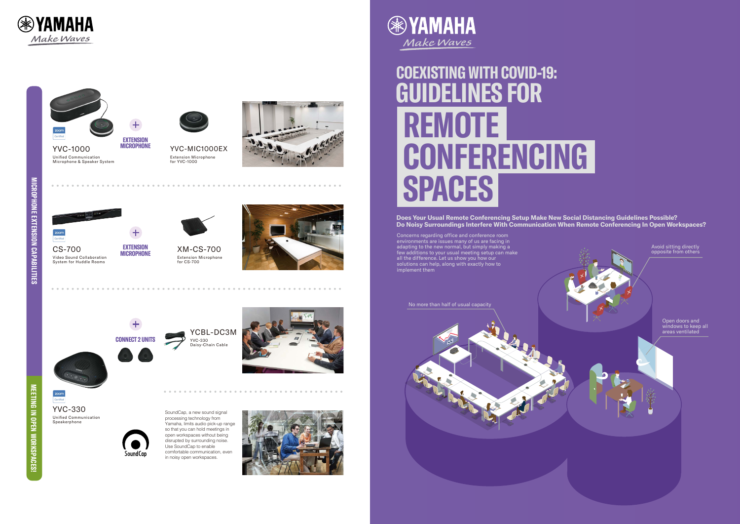**Does Your Usual Remote Conferencing Setup Make New Social Distancing Guidelines Possible? Do Noisy Surroundings Interfere With Communication When Remote Conferencing In Open Workspaces?**

## **GUIDELINES FOR COEXISTING WITH COVID-19: REMOTE CONFERENCING SPA C E S**

Unified Communication Speakerphone YVC-330 SoundCap, a new sound signal



Concerns regarding office and conference room environments are issues many of us are facing in adapting to the new normal, but simply making a few additions to your usual meeting setup can make all the difference. Let us show you how our solutions can help, along with exactly how to implement them





processing technology from Yamaha, limits audio pick-up range so that you can hold meetings in open workspaces without being disrupted by surrounding noise. Use SoundCap to enable comfortable communication, even in noisy open workspaces.









**zoom** 









Extension Microphone for YVC-1000 YVC-M I C1000E X





**EXTENSION MICROPHONE**

Video Sound Collaboration System for Huddle Rooms CS-700



Extension Microphone Externatori iv **EXTENSION** XM-CS-700 **MICROPHONE**





**CONNECT 2 UNITS** YVC-330